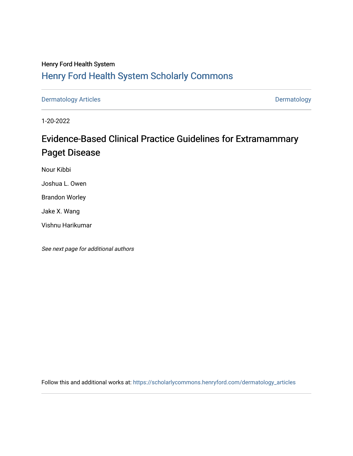## Henry Ford Health System [Henry Ford Health System Scholarly Commons](https://scholarlycommons.henryford.com/)

[Dermatology Articles](https://scholarlycommons.henryford.com/dermatology_articles) **Dermatology** 

1-20-2022

# Evidence-Based Clinical Practice Guidelines for Extramammary Paget Disease

Nour Kibbi

Joshua L. Owen

Brandon Worley

Jake X. Wang

Vishnu Harikumar

See next page for additional authors

Follow this and additional works at: [https://scholarlycommons.henryford.com/dermatology\\_articles](https://scholarlycommons.henryford.com/dermatology_articles?utm_source=scholarlycommons.henryford.com%2Fdermatology_articles%2F648&utm_medium=PDF&utm_campaign=PDFCoverPages)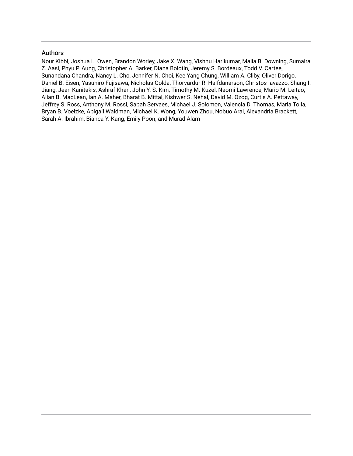## Authors

Nour Kibbi, Joshua L. Owen, Brandon Worley, Jake X. Wang, Vishnu Harikumar, Malia B. Downing, Sumaira Z. Aasi, Phyu P. Aung, Christopher A. Barker, Diana Bolotin, Jeremy S. Bordeaux, Todd V. Cartee, Sunandana Chandra, Nancy L. Cho, Jennifer N. Choi, Kee Yang Chung, William A. Cliby, Oliver Dorigo, Daniel B. Eisen, Yasuhiro Fujisawa, Nicholas Golda, Thorvardur R. Halfdanarson, Christos Iavazzo, Shang I. Jiang, Jean Kanitakis, Ashraf Khan, John Y. S. Kim, Timothy M. Kuzel, Naomi Lawrence, Mario M. Leitao, Allan B. MacLean, Ian A. Maher, Bharat B. Mittal, Kishwer S. Nehal, David M. Ozog, Curtis A. Pettaway, Jeffrey S. Ross, Anthony M. Rossi, Sabah Servaes, Michael J. Solomon, Valencia D. Thomas, Maria Tolia, Bryan B. Voelzke, Abigail Waldman, Michael K. Wong, Youwen Zhou, Nobuo Arai, Alexandria Brackett, Sarah A. Ibrahim, Bianca Y. Kang, Emily Poon, and Murad Alam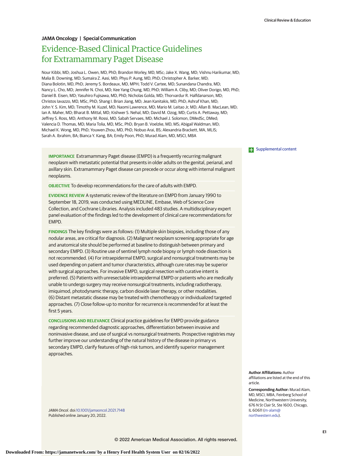## **JAMA Oncology | Special Communication**

## Evidence-Based Clinical Practice Guidelines for Extramammary Paget Disease

Nour Kibbi, MD; Joshua L. Owen, MD, PhD; Brandon Worley, MD, MSc; Jake X. Wang, MD; Vishnu Harikumar, MD; Malia B. Downing, MD; Sumaira Z. Aasi, MD; Phyu P. Aung, MD, PhD; Christopher A. Barker, MD; Diana Bolotin, MD, PhD; Jeremy S. Bordeaux, MD, MPH; Todd V. Cartee, MD; Sunandana Chandra, MD; Nancy L. Cho, MD; Jennifer N. Choi, MD; Kee Yang Chung, MD, PhD; William A. Cliby, MD; Oliver Dorigo, MD, PhD; Daniel B. Eisen, MD; Yasuhiro Fujisawa, MD, PhD; Nicholas Golda, MD; Thorvardur R. Halfdanarson, MD; Christos Iavazzo, MD, MSc, PhD; Shang I. Brian Jiang, MD; Jean Kanitakis, MD, PhD; Ashraf Khan, MD; John Y. S. Kim, MD; Timothy M. Kuzel, MD; Naomi Lawrence, MD; Mario M. Leitao Jr, MD; Allan B. MacLean, MD; Ian A. Maher, MD; Bharat B. Mittal, MD; Kishwer S. Nehal, MD; David M. Ozog, MD; Curtis A. Pettaway, MD; Jeffrey S. Ross, MD; Anthony M. Rossi, MD; Sabah Servaes, MD; Michael J. Solomon, DMedSc, DMed; Valencia D. Thomas, MD; Maria Tolia, MD, MSc, PhD; Bryan B. Voelzke, MD, MS; Abigail Waldman, MD; Michael K. Wong, MD, PhD; Youwen Zhou, MD, PhD; Nobuo Arai, BS; Alexandria Brackett, MA, MLIS; Sarah A. Ibrahim, BA; Bianca Y. Kang, BA; Emily Poon, PhD; Murad Alam, MD, MSCI, MBA

**IMPORTANCE** Extramammary Paget disease (EMPD) is a frequently recurring malignant neoplasm with metastatic potential that presents in older adults on the genital, perianal, and axillary skin. Extramammary Paget disease can precede or occur along with internal malignant neoplasms.

**OBJECTIVE** To develop recommendations for the care of adults with EMPD.

**EVIDENCE REVIEW** A systematic review of the literature on EMPD from January 1990 to September 18, 2019, was conducted using MEDLINE, Embase, Web of Science Core Collection, and Cochrane Libraries. Analysis included 483 studies. A multidisciplinary expert panel evaluation of the findings led to the development of clinical care recommendations for EMPD.

**FINDINGS** The key findings were as follows: (1) Multiple skin biopsies, including those of any nodular areas, are critical for diagnosis. (2) Malignant neoplasm screening appropriate for age and anatomical site should be performed at baseline to distinguish between primary and secondary EMPD. (3) Routine use of sentinel lymph node biopsy or lymph node dissection is not recommended. (4) For intraepidermal EMPD, surgical and nonsurgical treatments may be used depending on patient and tumor characteristics, although cure rates may be superior with surgical approaches. For invasive EMPD, surgical resection with curative intent is preferred. (5) Patients with unresectable intraepidermal EMPD or patients who are medically unable to undergo surgery may receive nonsurgical treatments, including radiotherapy, imiquimod, photodynamic therapy, carbon dioxide laser therapy, or other modalities. (6) Distant metastatic disease may be treated with chemotherapy or individualized targeted approaches. (7) Close follow-up to monitor for recurrence is recommended for at least the first 5 years.

**CONCLUSIONS AND RELEVANCE** Clinical practice guidelines for EMPD provide guidance regarding recommended diagnostic approaches, differentiation between invasive and noninvasive disease, and use of surgical vs nonsurgical treatments. Prospective registries may further improve our understanding of the natural history of the disease in primary vs secondary EMPD, clarify features of high-risk tumors, and identify superior management approaches.

JAMA Oncol. doi[:10.1001/jamaoncol.2021.7148](https://jamanetwork.com/journals/jama/fullarticle/10.1001/jamaoncol.2021.7148?utm_campaign=articlePDF%26utm_medium=articlePDFlink%26utm_source=articlePDF%26utm_content=jamaoncol.2021.7148) Published online January 20, 2022.

#### **Examplemental content**

**Author Affiliations:** Author affiliations are listed at the end of this article.

**Corresponding Author:** Murad Alam, MD, MSCI, MBA, Feinberg School of Medicine, Northwestern University, 676 N St Clair St, Ste 1600, Chicago, IL 60611 [\(m-alam@](mailto:m-alam@northwestern.edu) [northwestern.edu\)](mailto:m-alam@northwestern.edu).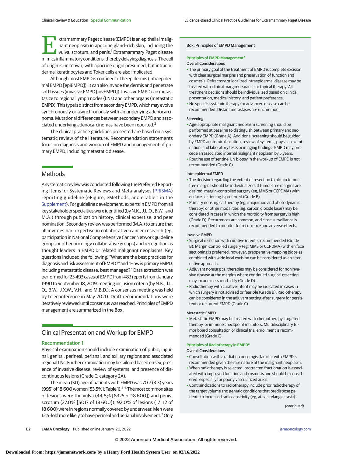**Extramammary Paget disease (EMPD) is an epithelial malig**nant neoplasm in apocrine gland–rich skin, including the vulva, scrotum, and penis.<sup>1</sup> Extramammary Paget disease mimics inflammatory conditions, thereby delaying diagnosis. The cell of origin is unknown, with apocrine origin presumed, but intraepidermal keratinocytes and Toker cells are also implicated.

Although most EMPD is confined to the epidermis (intraepidermal EMPD [epiEMPD]), it can also invade the dermis and penetrate soft tissues (invasive EMPD [invEMPD]). Invasive EMPD can metastasize to regional lymph nodes (LNs) and other organs (metastatic EMPD). This type is distinct from secondary EMPD, which may evolve synchronously or asynchronously with an underlying adenocarcinoma. Mutational differences between secondary EMPD and associated underlying adenocarcinomas have been reported.<sup>2</sup>

The clinical practice guidelines presented are based on a systematic review of the literature. Recommendation statements focus on diagnosis and workup of EMPD and management of primary EMPD, including metastatic disease.

## **Methods**

A systematic review was conducted following the Preferred Reporting Items for Systematic Reviews and Meta-analyses [\(PRISMA\)](https://www.equator-network.org/reporting-guidelines/prisma/) reporting guideline (eFigure, eMethods, and eTable 1 in the [Supplement\)](https://jamanetwork.com/journals/jama/fullarticle/10.1001/jamaoncol.2021.7148?utm_campaign=articlePDF%26utm_medium=articlePDFlink%26utm_source=articlePDF%26utm_content=jamaoncol.2021.7148). For guideline development, experts in EMPD from all key stakeholder specialties were identified (by N.K., J.L.O., B.W., and M.A.) through publication history, clinical expertise, and peer nomination. Secondary review was performed (M.A.) to ensure that all invitees had expertise in collaborative cancer research (eg, participation in National Comprehensive Cancer Network guideline groups or other oncology collaborative groups) and recognition as thought leaders in EMPD or related malignant neoplasms. Key questions included the following: "What are the best practices for diagnosis and risk assessment of EMPD?" and "How is primary EMPD, including metastatic disease, best managed?" Data extraction was performed for 23 493 cases of EMPD from 483 reports from January 1990 to September 18, 2019, meeting inclusion criteria (by N.K., J.L. O., B.W., J.X.W., V.H., and M.B.D.). A consensus meeting was held by teleconference in May 2020. Draft recommendations were iteratively reviewed until consensuswas reached. Principles of EMPD management are summarized in the Box.

## Clinical Presentation and Workup for EMPD

#### Recommendation 1

Physical examination should include examination of pubic, inguinal, genital, perineal, perianal, and axillary regions and associated regionalLNs. Furtherexaminationmay be tailored based on sex, presence of invasive disease, review of systems, and presence of discontinuous lesions (Grade C; category 2A).

The mean (SD) age of patients with EMPD was 70.7 (3.3) years (9951 of 18 600 women [53.5%]; Table 1).  $3-6$  The most common sites of lesions were the vulva (44.8% [8325 of 18 600]) and penisscrotum (27.0% [5017 of 18 600]); 92.0% of lesions (17 112 of 18 600) were in regions normally covered by underwear. Men were 12.5-fold more likely to have perineal and perianal involvement.<sup>7</sup> Only

#### Box. Principles of EMPD Management

#### **Principles of EMPD Management<sup>a</sup>**

#### Overall Considerations

- The primary goal of the treatment of EMPD is complete excision with clear surgical margins and preservation of function and cosmesis. Refractory or localized intraepidermal disease may be treated with clinical margin clearance or topical therapy. All treatment decisions should be individualized based on clinical presentation, medical history, and patient preference.
- No specific systemic therapy for advanced disease can be recommended. Distant metastases are uncommon.

#### Screening

- Age-appropriate malignant neoplasm screening should be performed at baseline to distinguish between primary and secondary EMPD (Grade A). Additional screening should be guided by EMPD anatomical location, review of systems, physical examination, and laboratory tests or imaging findings. EMPD may precede an associated internal malignant neoplasm by 5 years.
- Routine use of sentinel LN biopsy in the workup of EMPD is not recommended (Grade C).

#### Intraepidermal EMPD

- The decision regarding the extent of resection to obtain tumorfree margins should be individualized. If tumor-free margins are desired, margin-controlled surgery (eg, MMS or CCPDMA) with en face sectioning is preferred (Grade B).
- Primary nonsurgical therapy (eg, imiquimod and photodynamic therapy) or other modalities (eg, carbon dioxide laser) may be considered in cases in which the morbidity from surgery is high (Grade D). Recurrences are common, and close surveillance is recommended to monitor for recurrence and adverse effects.

#### Invasive EMPD

- Surgical resection with curative intent is recommended (Grade B). Margin-controlled surgery (eg, MMS or CCPDMA) with en face sectioning is preferred; however, preoperative mapping biopsies combined with wide local excision can be considered as an alternative approach.
- Adjuvant nonsurgical therapies may be considered for noninvasive disease at the margins where continued surgical resection may incur excess morbidity (Grade D).
- Radiotherapy with curative intent may be indicated in cases in which surgery is not advised or feasible (Grade B). Radiotherapy can be considered in the adjuvant setting after surgery for persistent or recurrent EMPD (Grade C).

#### Metastatic EMPD

• Metastatic EMPD may be treated with chemotherapy, targeted therapy, or immune checkpoint inhibitors. Multidisciplinary tumor board consultation or clinical trial enrollment is recommended (Grade C).

#### **Principles of Radiotherapy in EMPD<sup>a</sup>**

#### Overall Considerations

- Consultation with a radiation oncologist familiar with EMPD is recommended given the rare nature of the malignant neoplasm.
- When radiotherapy is selected, protracted fractionation is associated with improved function and cosmesis and should be considered, especially for poorly vascularized areas.
- Contraindications to radiotherapy include prior radiotherapy of the target volume and genetic conditions that predispose patients to increased radiosensitivity (eg, ataxia telangiectasia).

(continued)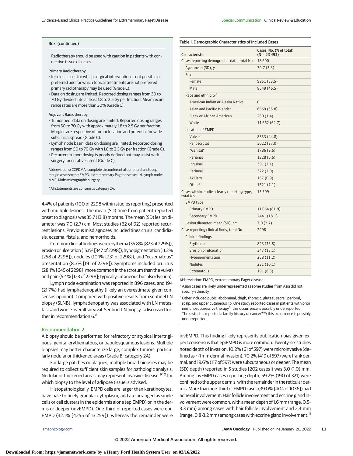Table 1. Demographic Characteristics of Included Cases

#### Box. (continued)

Radiotherapy should be used with caution in patients with connective tissue diseases.

#### Primary Radiotherapy

- In select cases for which surgical intervention is not possible or preferred and for which topical treatments are not preferred, primary radiotherapy may be used (Grade C).
- Data on dosing are limited. Reported dosing ranges from 30 to 70 Gy divided into at least 1.8 to 2.5 Gy per fraction. Mean recurrence rates are more than 30% (Grade C).

#### Adjuvant Radiotherapy

- Tumor bed: data on dosing are limited. Reported dosing ranges from 50 to 70 Gy with approximately 1.8 to 2.5 Gy per fraction. Margins are respective of tumor location and potential for wide subclinical spread (Grade C).
- Lymph node basin: data on dosing are limited. Reported dosing ranges from 50 to 70 Gy with 1.8 to 2.5 Gy per fraction (Grade C).
- Recurrent tumor: dosing is poorly defined but may assist with surgery for curative intent (Grade C).

Abbreviations: CCPDMA, complete circumferential peripheral and deep margin assessment; EMPD, extramammary Paget disease; LN, lymph node; MMS, Mohs micrographic surgery.

a All statements are consensus category 2A.

4.4% of patients (100 of 2298 within studies reporting) presented with multiple lesions. The mean (SD) time from patient-reported onset to diagnosis was 35.7 (13.8) months. The mean (SD) lesion diameter was 7.0 (2.7) cm. Most studies (62 of 92) reported recurrent lesions. Previous misdiagnoses included tinea cruris, candidiasis, eczema, fistula, and hemorrhoids.

Common clinical findingswereerythema (35.8% [823 of 2298]), erosion or ulceration (15.1% [347 of 2298]), hypopigmentation (11.2% [258 of 2298]), nodules (10.1% [231 of 2298]), and "eczematous" presentation (8.3% [191 of 2298]). Symptoms included pruritus (28.1% [645 of 2298]; more common in the scrotum than the vulva) and pain (5.4% [123 of 2298]; typically cutaneous but also dysuria).

Lymph node examination was reported in 896 cases, and 194 (21.7%) had lymphadenopathy (likely an overestimate given consensus opinion). Compared with positive results from sentinel LN biopsy (SLNB), lymphadenopathy was associated with LN metastasis and worse overall survival. Sentinel LN biopsy is discussed further in recommendation 6.<sup>8</sup>

#### Recommendation 2

A biopsy should be performed for refractory or atypical intertriginous, genital erythematous, or papulosquamous lesions. Multiple biopsies may better characterize large, complex tumors, particularly nodular or thickened areas (Grade B; category 2A).

For large patches or plaques, multiple broad biopsies may be required to collect sufficient skin samples for pathologic analysis. Nodular or thickened areas may represent invasive disease, <sup>9,10</sup> for which biopsy to the level of adipose tissue is advised.

Histopathologically, EMPD cells are larger than keratinocytes, have pale to finely granular cytoplasm, and are arranged as single cells or cell clusters in the epidermis alone (epiEMPD) or in the dermis or deeper (invEMPD). One-third of reported cases were epi-EMPD (32.1% [4255 of 13 259]), whereas the remainder were

| Characteristic                                            | Cases, No. (% of total)<br>$(N = 23493)$ |
|-----------------------------------------------------------|------------------------------------------|
| Cases reporting demographic data, total No.               | 18600                                    |
| Age, mean (SD), y                                         | 70.7 (3.3)                               |
| Sex                                                       |                                          |
| Female                                                    | 9951 (53.5)                              |
| Male                                                      | 8649 (46.5)                              |
| Race and ethnicity <sup>a</sup>                           |                                          |
| American Indian or Alaska Native                          | $\Omega$                                 |
| Asian and Pacific Islander                                | 6659 (35.8)                              |
| <b>Black or African American</b>                          | 260(1.4)                                 |
| White                                                     | 11 662 (62.7)                            |
| <b>Location of EMPD</b>                                   |                                          |
| Vulvar                                                    | 8333 (44.8)                              |
| Penoscrotal                                               | 5022 (27.0)                              |
| "Genital"                                                 | 1786 (9.6)                               |
| Perianal                                                  | 1228 (6.6)                               |
| Inguinal                                                  | 391(2.1)                                 |
| Perineal                                                  | 372 (2.0)                                |
| Axillary                                                  | 167(0.9)                                 |
| Otherb                                                    | 1321(7.1)                                |
| Cases within studies clearly reporting type,<br>total No. | 13509                                    |
| <b>EMPD type</b>                                          |                                          |
| <b>Primary EMPD</b>                                       | 11064 (81.9)                             |
| <b>Secondary EMPD</b>                                     | 2441 (18.1)                              |
| Lesion diameter, mean (SD), cm                            | 7.0(2.7)                                 |
| Case reporting clinical finds, total No.                  | 2298                                     |
| <b>Clinical findings</b>                                  |                                          |
| Erythema                                                  | 823 (35.8)                               |
| Erosion or ulceration                                     | 347 (15.1)                               |
| Hypopigmentation                                          | 258 (11.2)                               |
| <b>Nodules</b>                                            | 231 (10.1)                               |
| Eczematous                                                | 191 (8.3)                                |
|                                                           |                                          |

Abbreviation: EMPD, extramammary Paget disease.

<sup>a</sup> Asian cases are likely underrepresented as some studies from Asia did not specify ethnicity.

<sup>b</sup> Other included pubic, abdominal, thigh, thoracic, gluteal, sacral, perioral, scalp, and upper cutaneous lip. One study reported cases in patients with prior immunosuppressive therapy<sup>3</sup>; this occurrence is possibly underreported. Three studies reported a family history of cancer<sup>4-6</sup>; this occurrence is possibly underreported.

invEMPD. This finding likely represents publication bias given expert consensus that epiEMPD is more common. Twenty-six studies noted depth of invasion: 10.2% (61 of 597) were microinvasive (defined as-1mm dermal invasion), 70.2% (419 of 597) were frank dermal, and 19.6% (117 of 597) were subcutaneous or deeper. Themean (SD) depth (reported in 5 studies [202 cases]) was 3.0 (1.0) mm. Among invEMPD cases reporting depth, 59.2% (190 of 321) were confined to the upper dermis, with the remainder in the reticular dermis. More than one-third of EMPD cases (39.0% [404 of 1036]) had adnexal involvement. Hair follicle involvement and eccrine gland involvement were common, with amean depth of 1.6mm (range, 0.5- 3.3 mm) among cases with hair follicle involvement and 2.4 mm (range, 0.8-3.2 mm) among cases with eccrine gland involvement.11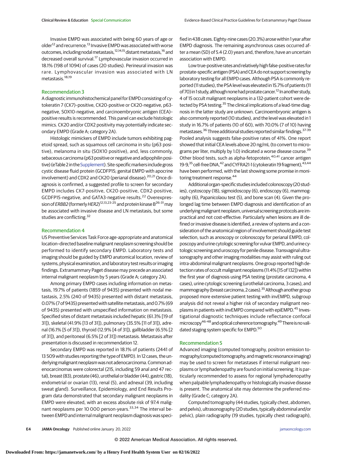Invasive EMPD was associated with being 60 years of age or older<sup>12</sup> and recurrence.<sup>13</sup> Invasive EMPD was associated with worse outcomes, including nodal metastasis, 12,14,15 distant metastasis, <sup>16</sup> and decreased overall survival.<sup>17</sup> Lymphovascular invasion occurred in 18.1% (198 of 1094) of cases (20 studies). Perineural invasion was rare. Lymphovascular invasion was associated with LN metastasis.18,19

### Recommendation 3

A diagnostic immunohistochemical panel for EMPD consisting of cytokeratin 7 (CK7)–positive, CK20-positive or CK20-negative, p63 negative, SOX10-negative, and carcinoembryonic antigen (CEA)– positive results is recommended. This panel can exclude histologic mimics. CK20 and/or CDX2 positivity may potentially indicate secondary EMPD (Grade A; category 2A).

Histologic mimickers of EMPD include tumors exhibiting pagetoid spread, such as squamous cell carcinoma in situ (p63 positive), melanoma in situ (SOX10 positive), and, less commonly, sebaceous carcinoma (p63 positive or negative and adipophilin positive) (eTable 2 in the Supplement). Site-specific markers include gross cystic disease fluid protein (GCDFP15; genital EMPD with apocrine involvement) and CDX2 and CK20 (perianal disease).<sup>20,21</sup> Once diagnosis is confirmed, a suggested profile to screen for secondary EMPD includes CK7-positive, CK20-positive, CDX2-positive, GCDFP15-negative, and GATA3-negative results.<sup>22</sup> Overexpression of *ERBB2* (formerly HER2)<sup>12,13,23-25</sup> and protein kinase B<sup>26-31</sup> may be associated with invasive disease and LN metastasis, but some studies are conflicting.<sup>32</sup>

#### Recommendation 4

US Preventive Services Task Force age-appropriate and anatomical location-directed baseline malignant neoplasm screening should be performed to identify secondary EMPD. Laboratory tests and imaging should be guided by EMPD anatomical location, review of systems, physical examination, and laboratory test results or imaging findings. Extramammary Paget disease may precede an associated internal malignant neoplasm by 5 years (Grade A; category 2A).

Among primary EMPD cases including information on metastasis, 19.7% of patients (1859 of 9435) presented with nodal metastasis, 2.5% (240 of 9435) presented with distant metastasis, 0.07% (7 of 9435) presented with satellitemetastasis, and0.7% (69 of 9435) presented with unspecified information on metastasis. Specified sites of distant metastasis included hepatic (61.3% [19 of 31]), skeletal (41.9% [13 of 31]), pulmonary (35.5% [11 of 31]), adrenal (16.1% [5 of 31]), thyroid (12.9% [4 of 31]), gallbladder (6.5% [2 of 31]), and peritoneal (6.5% [2 of 31]) metastasis. Metastasis after presentation is discussed in recommendation 12.

Secondary EMPD was reported in 18.1% of patients (2441 of 13 509 with studies reporting the type of EMPD). In 12 cases, the underlyingmalignant neoplasmwas not adenocarcinoma. Common adenocarcinomas were colorectal (215, including 59 anal and 47 rectal), breast (83), prostate (46), urothelial or bladder (44), gastric (18), endometrial or ovarian (13), renal (5), and adnexal (39, including sweat gland). Surveillance, Epidemiology, and End Results Program data demonstrated that secondary malignant neoplasms in EMPD were elevated, with an excess absolute risk of 97.4 malignant neoplasms per 10 000 person-years.<sup>33,34</sup> The interval between EMPD and internal malignant neoplasm diagnosis was specified in 438 cases. Eighty-nine cases (20.3%) arose within 1 year after EMPD diagnosis. The remaining asynchronous cases occurred after a mean (SD) of 5.4 (2.0) years and, therefore, have an uncertain association with EMPD.

Low true-positive rates and relatively high false-positive rates for prostate-specific antigen (PSA) and CEA do not support screening by laboratory testing for all EMPD cases. Although PSA is commonly reported (11 studies), the PSA level was elevated in 15.7% of patients (11 of 70) in 1 study, although none had prostate cancer.<sup>12</sup> In another study, 4 of 15 occult malignant neoplasms in a 132-patient cohort were detected by PSA testing.<sup>35</sup> The clinical implications of a lead-time diagnosis in the latter study are unknown. Carcinoembryonic antigen is also commonly reported (10 studies), and the level was elevated in 1 study in 16.7% of patients (10 of 60), with 70.0% (7 of 10) having metastases.<sup>36</sup> Three additional studies reported similar findings.<sup>37-39</sup> Pooled analysis suggests false-positive rates of 41%. One report showed that initial CEA levels above 20 ng/mL (to convert to micrograms per liter, multiply by 1.0) indicated a worse disease course.<sup>39</sup> Other blood tests, such as alpha-fetoprotein,<sup>40,41</sup> cancer antigen 19-9,<sup>35</sup> cell-free DNA,<sup>42</sup> and CYFRA21-1 (cytokeratin 19 fragment), <sup>43,44</sup> have been performed, with the last showing some promise in monitoring treatment response.<sup>44</sup>

Additional organ-specific studies included colonoscopy (20 studies), cystoscopy (18), sigmoidoscopy (6), endoscopy (6), mammography (6), Papanicolaou test (5), and bone scan (4). Given the prolonged lag time between EMPD diagnosis and identification of an underlying malignant neoplasm, universal screening protocols are impractical and not cost-effective. Particularly when lesions are ill defined or invasive disease is identified, a review of systems and a consideration of the anatomical region of involvement should guide test selection, such as anoscopy or colonoscopy for perianal EMPD, colposcopy and urine cytologic screening for vulvar EMPD, and urine cytologic screening and uroscopy for penile disease. Transvaginal ultrasonography and other imaging modalities may assist with ruling out intra-abdominal malignant neoplasms. One group reported high detection rates of occult malignant neoplasms (11.4% [15 of 132]) within the first year of diagnosis using PSA testing (prostate carcinoma, 4 cases), urine cytologic screening (urothelial carcinoma, 3 cases), and mammography (breast carcinoma, 2 cases).<sup>35</sup> Although another group proposed more extensive patient testing with invEMPD, subgroup analysis did not reveal a higher risk of secondary malignant neoplasms in patients with invEMPD compared with epiEMPD.<sup>45</sup> Investigational diagnostic techniques include reflectance confocal microscopy<sup>46-48</sup> and optical coherence tomography.<sup>49</sup> There is no validated staging system specific for EMPD.<sup>50</sup>

#### Recommendation 5

Advanced imaging (computed tomography, positron emission tomography/computed tomography, and magnetic resonance imaging) may be used to screen for metastases if internal malignant neoplasms or lymphadenopathy are found on initial screening. It is particularly recommended to assess for regional lymphadenopathy when palpable lymphadenopathy or histologically invasive disease is present. The anatomical site may determine the preferred modality (Grade C; category 2A).

Computed tomography (44 studies, typically chest, abdomen, and pelvis), ultrasonography (20 studies, typically abdominal and/or pelvic), plain radiography (19 studies, typically chest radiograph),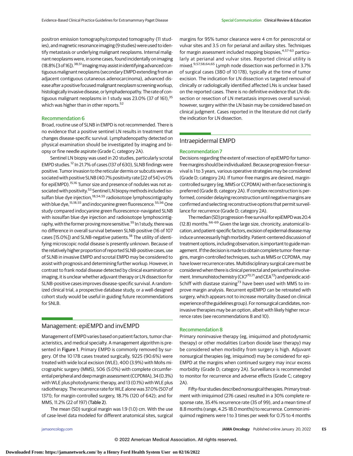positron emission tomography/computed tomography (11 studies), and magnetic resonance imaging (9 studies) were used to identify metastasis or underlying malignant neoplasms. Internal malignant neoplasms were, in some cases, found incidentally on imaging  $(18.8\%$  [3 of 16]).<sup>38,51</sup> Imaging may assist in identifying advanced contiguous malignant neoplasms (secondary EMPD extending from an adjacent contiguous cutaneous adenocarcinoma), advanced disease after a positive focused malignant neoplasm screening workup, histologically invasive disease, or lymphadenopathy. The rate of contiguous malignant neoplasms in 1 study was 23.0% (37 of 161), 35 which was higher than in other reports.<sup>52</sup>

#### Recommendation 6

Broad, routine use of SLNB in EMPD is not recommended. There is no evidence that a positive sentinel LN results in treatment that changes disease-specific survival. Lymphadenopathy detected on physical examination should be investigated by imaging and biopsy or fine needle aspirate (Grade C; category 2A).

Sentinel LN biopsy was used in 20 studies, particularly scrotal EMPD studies.<sup>12</sup> In 21.7% of cases (137 of 630), SLNB findings were positive. Tumor invasion to the reticular dermis or subcutis were associated with positive SLNB (40.7% positivity rate [22 of 54] vs 0% for epiEMPD).<sup>15,16</sup> Tumor size and presence of nodules was not associated with positivity.<sup>53</sup> Sentinel LN biopsy methods included isosulfan blue dye injection,<sup>18,54,55</sup> radioisotope lymphoscintigraphy with blue dye,<sup>15,18,55</sup> and indocyanine green fluorescence.<sup>55,56</sup> One study compared indocyanine green fluorescence–navigated SLNB with isosulfan blue dye injection and radioisotope lymphoscintigraphy, with the former proving more sensitive.<sup>55</sup> In 1 study, there was no difference in overall survival between SLNB-positive (16 of 107 cases [15.0%]) and SLNB-negative patients.<sup>18</sup> The utility of identifying microscopic nodal disease is presently unknown. Because of the relatively higher proportion of reported SLNB-positive cases, use of SLNB in invasive EMPD and scrotal EMPD may be considered to assist with prognosis and determining further workup. However, in contrast to frank nodal disease detected by clinical examination or imaging, it is unclear whether adjuvant therapy or LN dissection for SLNB-positive cases improves disease-specific survival. A randomized clinical trial, a prospective database study, or a well-designed cohort study would be useful in guiding future recommendations for SNLB.

## Management: epiEMPD and invEMPD

Management of EMPD varies based on patient factors, tumor characteristics, and medical specialty. A management algorithm is presented in Figure 1. Primary EMPD is commonly removed by surgery. Of the 10 178 cases treated surgically, 9225 (90.6%) were treated with wide local excision (WLE), 400 (3.9%) with Mohs micrographic surgery (MMS), 506 (5.0%) with complete circumferential peripheral and deepmargin assessment (CCPDMA), 34 (0.3%) with WLE plus photodynamic therapy, and 13 (0.1%) with WLE plus radiotherapy. The recurrence rate for WLE alone was 37.0% (507 of 1371); for margin-controlled surgery, 18.7% (120 of 642); and for MMS, 11.2% (22 of 197) (Table 2).

The mean (SD) surgical margin was 1.9 (1.0) cm. With the use of case-level data modeled for different anatomical sites, surgical margins for 95% tumor clearance were 4 cm for penoscrotal or vulvar sites and 3.5 cm for perianal and axillary sites. Techniques for margin assessment included mapping biopsies,<sup>4,57-63</sup> particularly at perianal and vulvar sites. Reported clinical utility is mixed.9,57,58,64,65 Lymph node dissection was performed in 3.7% of surgical cases (380 of 10 178), typically at the time of tumor excision. The indication for LN dissection vs targeted removal of clinically or radiologically identified affected LNs is unclear based on the reported cases. There is no definitive evidence that LN dissection or resection of LN metastasis improves overall survival; however, surgery within the LN basin may be considered based on clinical judgment. Cases reported in the literature did not clarify the indication for LN dissection.

## Intraepidermal EMPD

#### Recommendation 7

Decisions regarding the extent of resection of epiEMPD for tumorfreemargins should be individualized. Because progression-free survival is 1 to 3 years, various operative strategies may be considered (Grade D; category 2A). If tumor-free margins are desired, margincontrolled surgery (eg, MMS or CCPDMA) with en face sectioning is preferred (Grade B; category 2A). If complex reconstruction is performed, consider delaying reconstruction until negativemargins are confirmed and selecting reconstructive options that permit surveillance for recurrence (Grade D; category 2A).

The median (SD) progression-free survival for epiEMPD was 20.4 (12.8) months. 66-69 Given the large size, chronicity, anatomical location, and patient-specific factors, excision of epidermal disease may induce unnecessarily high morbidity. Patient-centered discussion of treatment options, including observation, is important to guidemanagement. If the decision is made to obtain complete tumor-free margins, margin-controlled techniques, such as MMS or CCPDMA, may have lower recurrence rates. Multidisciplinary surgical care must be considered when there is clinical perirectal and periurethral involvement. Immunohistochemistry (CK7 $^{70,71}$  and CEA $^{72}$ ) and periodic acid-Schiff with diastase staining<sup>73</sup> have been used with MMS to improve margin analysis. Recurrent epiEMPD can be retreated with surgery, which appears not to increase mortality (based on clinical experience of the guidelines group). For nonsurgical candidates, noninvasive therapies may be an option, albeit with likely higher recurrence rates (see recommendations 8 and 10).

#### Recommendation 8

Primary noninvasive therapy (eg, imiquimod and photodynamic therapy) or other modalities (carbon dioxide laser therapy) may be considered when morbidity from surgery is high. Adjuvant nonsurgical therapies (eg, imiquimod) may be considered for epi-EMPD at the margins when continued surgery may incur excess morbidity (Grade D; category 2A). Surveillance is recommended to monitor for recurrence and adverse effects (Grade C; category 2A).

Fifty-four studies described nonsurgical therapies. Primary treatment with imiquimod (276 cases) resulted in a 30% complete response rate, 35.4% recurrence rate (35 of 99), and a mean time of 8.8 months (range, 4.25-18.0 months) to recurrence. Common imiquimod regimens were 1 to 3 times per week for 0.75 to 4 months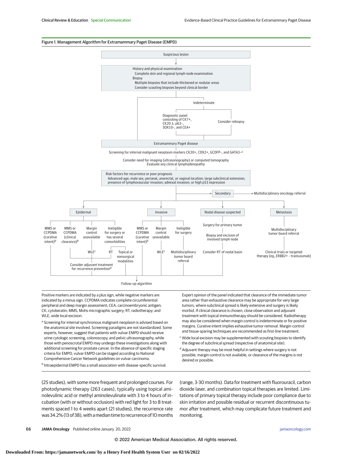#### Figure 1. Management Algorithm for Extramammary Paget Disease (EMPD)



Positive markers are indicated by a plus sign, while negative markers are indicated by a minus sign. CCPDMA indicates complete circumferential peripheral and deep margin assessment; CEA, carcinoembryonic antigen; CK, cytokeratin; MMS, Mohs micrographic surgery; RT, radiotherapy; and WLE, wide local excision.

a Screening for internal synchronous malignant neoplasm is advised based on the anatomical site involved. Screening paradigms are not standardized. Some experts, however, suggest that patients with vulvar EMPD should receive urine cytologic screening, colonoscopy, and pelvic ultrasonography, while those with penoscrotal EMPD may undergo these investigations along with additional screening for prostate cancer. In the absence of specific staging criteria for EMPD, vulvar EMPD can be staged according to National Comprehensive Cancer Network guidelines on vulvar carcinoma.

<sup>b</sup> Intraepidermal EMPD has a small association with disease-specific survival.

Expert opinion of the panel indicated that clearance of the immediate tumor area rather than exhaustive clearance may be appropriate for very large tumors, where subclinical spread is likely extensive and surgery is likely morbid. If clinical clearance is chosen, close observation and adjuvant treatment with topical immunotherapy should be considered. Radiotherapy may also be considered when margin control is indeterminate or for positive margins. Curative intent implies exhaustive tumor removal. Margin-control and tissue-sparing techniques are recommended as first-line treatment.

- <sup>c</sup> Wide local excision may be supplemented with scouting biopsies to identify the degree of subclinical spread (respective of anatomical site).
- <sup>d</sup> Adjuvant therapy may be most helpful in settings where surgery is not possible, margin control is not available, or clearance of the margins is not desired or possible.

(25 studies), with some more frequent and prolonged courses. For photodynamic therapy (263 cases), typically using topical aminolevulinic acid or methyl aminolevulinate with 3 to 4 hours of incubation (with or without occlusion) with red light for 3 to 8 treatments spaced 1 to 4 weeks apart (21 studies), the recurrence rate was 34.2% (13 of 38), with a median time to recurrence of 10 months (range, 3-30 months). Data for treatment with fluorouracil, carbon dioxide laser, and combination topical therapies are limited. Limitations of primary topical therapy include poor compliance due to skin irritation and possible residual or recurrent discontinuous tumor after treatment, which may complicate future treatment and monitoring.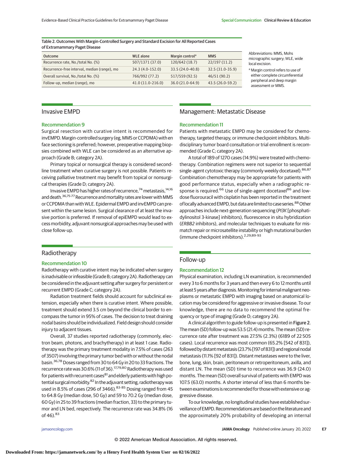Table 2. Outcomes With Margin-Controlled Surgery and Standard Excision for All Reported Cases of Extramammary Paget Disease

| <b>Outcome</b>                               | <b>WLE</b> alone   | Margin control <sup>a</sup> | <b>MMS</b>       |
|----------------------------------------------|--------------------|-----------------------------|------------------|
| Recurrence rate, No./total No. (%)           | 507/1371 (37.0)    | 120/642 (18.7)              | 22/197(11.2)     |
| Recurrence-free interval, median (range), mo | 24.3 (4.0-152.0)   | 33.5 (24.0-40.8)            | 32.5 (31.0-35.9) |
| Overall survival, No./total No. (%)          | 766/992 (77.2)     | 517/559 (92.5)              | 46/51 (90.2)     |
| Follow-up, median (range), mo                | $41.0(11.0-216.0)$ | 36.0 (21.0-64.9)            | 43.5 (26.0-59.2) |

Abbreviations: MMS, Mohs micrographic surgery; WLE, wide local excision.

<sup>a</sup> Margin control refers to use of either complete circumferential peripheral and deep margin assessment or MMS.

## Invasive EMPD

## Recommendation 9

Surgical resection with curative intent is recommended for invEMPD. Margin-controlled surgery (eg, MMS or CCPDMA) with en face sectioning is preferred; however, preoperative mapping biopsies combined with WLE can be considered as an alternative approach (Grade B; category 2A).

Primary topical or nonsurgical therapy is considered secondline treatment when curative surgery is not possible. Patients receiving palliative treatment may benefit from topical or nonsurgical therapies (Grade D; category 2A).

Invasive EMPD has higher rates of recurrence,<sup>74</sup> metastasis,<sup>14,16</sup> and death.<sup>36,75-77</sup> Recurrence and mortality rates are lower with MMS or CCPDMA than with WLE. Epidermal EMPD and invEMPD can present within the same lesion. Surgical clearance of at least the invasive portion is preferred. If removal of epiEMPD would lead to excess morbidity, adjuvant nonsurgical approaches may be used with close follow-up.

## Radiotherapy

### Recommendation 10

Radiotherapy with curative intent may be indicated when surgery is inadvisable or infeasible (Grade B; category 2A). Radiotherapy can be considered in the adjuvant setting after surgery for persistent or recurrent EMPD (Grade C; category 2A).

Radiation treatment fields should account for subclinical extension, especially when there is curative intent. Where possible, treatment should extend 3.5 cm beyond the clinical border to encompass the tumor in 95% of cases. The decision to treat draining nodal basins should be individualized. Field design should consider injury to adjacent tissues.

Overall, 37 studies reported radiotherapy (commonly, electron beam, photons, and brachytherapy) in at least 1 case. Radiotherapy was the primary treatment modality in 7.5% of cases (263 of 3507) involving the primary tumor bed with or without the nodal basin.<sup>36,78</sup> Doses ranged from 30 to 64 Gy in 20 to 33 fractions. The recurrence rate was 30.6% (11 of 36).<sup>17,79,80</sup> Radiotherapy was used for patients with recurrent cases<sup>81</sup> and elderly patients with high potential surgical morbidity.<sup>82</sup> In the adjuvant setting, radiotherapy was used in 8.5% of cases (296 of 3466).<sup>83-85</sup> Dosing ranged from 45 to 64.8 Gy (median dose, 50 Gy) and 59 to 70.2 Gy (median dose, 60 Gy) in 25 to 39 fractions (median fraction, 33) to the primary tumor and LN bed, respectively. The recurrence rate was 34.8% (16 of 46). 83

## Management: Metastatic Disease

#### Recommendation 11

Patients with metastatic EMPD may be considered for chemotherapy, targeted therapy, or immune checkpoint inhibitors. Multidisciplinary tumor board consultation or trial enrollment is recommended (Grade C; category 2A).

A total of 189 of 1270 cases (14.9%) were treated with chemotherapy. Combination regimens were not superior to sequential single-agent cytotoxic therapy (commonly weekly docetaxel). 86,87 Combination chemotherapy may be appropriate for patients with good performance status, especially when a radiographic response is required.<sup>66</sup> Use of single-agent docetaxel<sup>86</sup> and lowdose fluorouracil with cisplatin has been reported in the treatment of locally advanced EMPD, but data are limited to case series.<sup>88</sup> Other approaches include next-generation sequencing (PI3K [phosphatidylinositol 3-kinase] inhibitors), fluorescence in situ hybridization (ERBB2 inhibitors), and molecular techniques to evaluate for mismatch repair or microsatellite instability or high mutational burden (immune checkpoint inhibitors).<sup>2,29,89-93</sup>

## Follow-up

#### Recommendation 12

Physical examination, including LN examination, is recommended every 3 to 6 months for 3 years and then every 6 to 12 months until at least 5 years after diagnosis. Monitoring for internal malignant neoplasms or metastatic EMPD with imaging based on anatomical location may be considered for aggressive or invasive disease. To our knowledge, there are no data to recommend the optimal frequency or type of imaging (Grade D; category 2A).

A clinical algorithm to guide follow-up is presented in Figure 2. The mean (SD) follow-up was 53.5 (21.4) months. The mean (SD) recurrence rate after treatment was 27.5% (2.3%) (6189 of 22 505 cases). Local recurrence was most common (65.2% [542 of 831]), followed by distant metastasis (23.7% [197 of 831]) and regional nodal metastasis (11.1% [92 of 831]). Distant metastases were to the liver, bone, lung, skin, brain, peritoneum or retroperitoneum, axilla, and distant LN. The mean (SD) time to recurrence was 36.9 (24.0) months. The mean (SD) overall survival of patients with EMPD was 107.5 (63.0) months. A shorter interval of less than 6 months between examinations is recommended for those with extensive or aggressive disease.

To our knowledge, no longitudinal studies have established surveillance of EMPD. Recommendationsare based on the literatureand the approximately 20% probability of developing an internal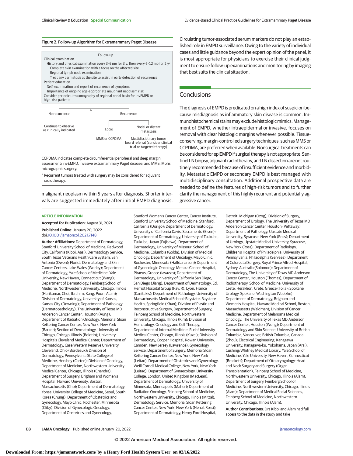#### Figure 2. Follow-up Algorithm for Extramammary Paget Disease



CCPDMA indicates complete circumferential peripheral and deep margin assessment; invEMPD, invasive extramammary Paget disease; and MMS, Mohs micrographic surgery.

a Recurrent tumors treated with surgery may be considered for adjuvant radiotherapy.

malignant neoplasm within 5 years after diagnosis. Shorter intervals are suggested immediately after initial EMPD diagnosis.

#### ARTICLE INFORMATION

**Accepted for Publication:** August 31, 2021. **Published Online:** January 20, 2022. doi[:10.1001/jamaoncol.2021.7148](https://jamanetwork.com/journals/jama/fullarticle/10.1001/jamaoncol.2021.7148?utm_campaign=articlePDF%26utm_medium=articlePDFlink%26utm_source=articlePDF%26utm_content=jamaoncol.2021.7148)

**Author Affiliations:** Department of Dermatology, Stanford University School of Medicine, Redwood City, California (Kibbi, Aasi); Dermatology Service, South Texas Veterans Health Care System, San Antonio (Owen); Florida Dermatology and Skin Cancer Centers, Lake Wales (Worley); Department of Dermatology, Yale School of Medicine, Yale University, New Haven, Connecticut (Wang); Department of Dermatology, Feinberg School of Medicine, Northwestern University, Chicago, Illinois (Harikumar, Choi, Ibrahim, Kang, Poon, Alam); Division of Dermatology, University of Kansas, Kansas City (Downing); Department of Pathology (Dermatopathology), The University of Texas MD Anderson Cancer Center, Houston (Aung); Department of Radiation Oncology, Memorial Sloan Kettering Cancer Center, New York, New York (Barker); Section of Dermatology, University of Chicago, Chicago, Illinois (Bolotin); University Hospitals Cleveland Medical Center, Department of Dermatology, Case Western Reserve University, Cleveland, Ohio (Bordeaux); Division of Dermatology, Pennsylvania State College of Medicine, Hershey (Cartee); Division of Oncology, Department of Medicine, Northwestern University Medical Center, Chicago, Illinois (Chandra); Department of Surgery, Brigham and Women's Hospital, Harvard University, Boston, Massachusetts (Cho); Department of Dermatology, Yonsei University College of Medicine, Seoul, South Korea (Chung); Department of Obstetrics and Gynecology, Mayo Clinic, Rochester, Minnesota (Cliby); Division of Gynecologic Oncology, Department of Obstetrics and Gynecology,

Stanford Women's Cancer Center, Cancer Institute, Stanford University School of Medicine, Stanford, California (Dorigo); Department of Dermatology, University of California Davis, Sacramento (Eisen); Department of Dermatology, University of Tsukuba, Tsukuba, Japan (Fujisawa); Department of Dermatology, University of Missouri School of Medicine, Columbia (Golda); Division of Medical Oncology, Department of Oncology, Mayo Clinic, Rochester, Minnesota (Halfdanarson); Department of Gynecologic Oncology, Metaxa Cancer Hospital, Piraeus, Greece (Iavazzo); Department of Dermatology, University of California San Diego, San Diego (Jiang); Department of Dermatology, Ed. Herriot Hospital Group (Pav. R), Lyon, France (Kanitakis); Department of Pathology, University of Massachusetts Medical School–Baystate, Baystate Health, Springfield (Khan); Division of Plastic and Reconstructive Surgery, Department of Surgery, Feinberg School of Medicine, Northwestern University, Chicago, Illinois (Kim); Division of Hematology, Oncology and Cell Therapy, Department of Internal Medicine, Rush University Medical Center, Chicago, Illinois (Kuzel); Division of Dermatology, Cooper Hospital, Rowan University, Camden, New Jersey (Lawrence); Gynecology Service, Department of Surgery, Memorial Sloan Kettering Cancer Center, New York, New York (Leitao); Department of Obstetrics and Gynecology, Weill Cornell Medical College, New York, New York (Leitao); Department of Gynaecology, University College, London, United Kingdom (MacLean); Department of Dermatology, University of Minnesota, Minneapolis (Maher); Department of Radiation Oncology, Feinberg School of Medicine, Northwestern University, Chicago, Illinois (Mittal); Dermatology Service, Memorial Sloan Kettering Cancer Center, New York, New York (Nehal, Rossi); Department of Dermatology, Henry Ford Hospital,

Circulating tumor-associated serum markers do not play an established role in EMPD surveillance. Owing to the variety of individual cases and little guidance beyond the expert opinion of the panel, it is most appropriate for physicians to exercise their clinical judgment to ensure follow-up examinations and monitoring by imaging that best suits the clinical situation.

## **Conclusions**

The diagnosis of EMPD is predicated on a high index of suspicion because misdiagnosis as inflammatory skin disease is common. Immunohistochemical stains may exclude histologic mimics. Management of EMPD, whether intraepidermal or invasive, focuses on removal with clear histologic margins whenever possible. Tissueconserving, margin-controlled surgery techniques, such as MMS or CCPDMA, are preferred when available.Nonsurgical treatments can be considered for epiEMPD if surgical therapy is not appropriate. Sentinel LN biopsy, adjuvant radiotherapy, and LN dissection are not routinely recommended because of insufficient evidence and morbidity. Metastatic EMPD or secondary EMPD is best managed with multidisciplinary consultation. Additional prospective data are needed to define the features of high-risk tumors and to further clarify the management of this highly recurrent and potentially aggressive cancer.

> Detroit, Michigan (Ozog); Division of Surgery, Department of Urology, The University of Texas MD Anderson Cancer Center, Houston (Pettaway); Department of Pathology, Upstate Medical University, Syracuse, New York (Ross); Department of Urology, Upstate Medical University, Syracuse, New York (Ross); Department of Radiology, Children's Hospital of Philadelphia, University of Pennsylvania, Philadelphia (Servaes); Department of Colorectal Surgery, Royal Prince Alfred Hospital, Sydney, Australia (Solomon); Department of Dermatology, The University of Texas MD Anderson Cancer Center, Houston (Thomas); Department of Radiotherapy, School of Medicine, University of Crete, Heraklion, Crete, Greece (Tolia); Spokane Urology, Spokane, Washington (Voelzke); Department of Dermatology, Brigham and Women's Hospital, Harvard Medical School, Boston, Massachusetts (Waldman); Division of Cancer Medicine, Department of Melanoma Medical Oncology, The University of Texas MD Anderson Cancer Center, Houston (Wong); Department of Dermatology and Skin Science, University of British Columbia, Vancouver, British Columbia, Canada (Zhou); Electrical Engineering, Kanagawa University, Kanagawa-ku, Yokohama, Japan (Arai); Cushing/Whitney Medical Library, Yale School of Medicine, Yale University, New Haven, Connecticut (Brackett); Department of Otolaryngology–Head and Neck Surgery and Surgery (Organ Transplantation), Feinberg School of Medicine, Northwestern University, Chicago, Illinois (Alam); Department of Surgery, Feinberg School of Medicine, Northwestern University, Chicago, Illinois (Alam); Department of Medical Social Sciences, Feinberg School of Medicine, Northwestern University, Chicago, Illinois (Alam).

**Author Contributions**: Drs Kibbi and Alam had full access to the data in the study and take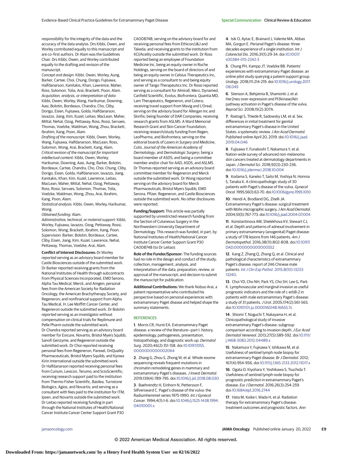responsibility for the integrity of the data and the accuracy of the data analysis. Drs Kibbi, Owen, and Worley contributed equally to this manuscript and are co–first authors. Dr Alam was the Guidelines Chair. Drs Kibbi, Owen, and Worley contributed equally to the drafting and revision of the manuscript.

Concept and design: Kibbi, Owen, Worley, Aung, Barker, Cartee, Choi, Chung, Dorigo, Fujisawa, Halfdanarson, Kanitakis, Khan, Lawrence, Maher, Ross, Solomon, Tolia, Arai, Brackett, Poon, Alam. Acquisition, analysis, or interpretation of data: Kibbi, Owen, Worley, Wang, Harikumar, Downing, Aasi, Bolotin, Bordeaux, Chandra, Cho, Cliby, Dorigo, Eisen, Fujisawa, Golda, Halfdanarson, Iavazzo, Jiang, Kim, Kuzel, Leitao, MacLean, Maher, Mittal, Nehal, Ozog, Pettaway, Ross, Rossi, Servaes, Thomas, Voelzke, Waldman, Wong, Zhou, Brackett, Ibrahim, Kang, Poon, Alam.

Drafting of the manuscript: Kibbi, Owen, Worley, Wang, Fujisawa, Halfdanarson, MacLean, Ross, Solomon, Wong, Arai, Brackett, Kang, Alam. Critical revision of the manuscript for important intellectual content: Kibbi, Owen, Worley, Harikumar, Downing, Aasi, Aung, Barker, Bolotin, Bordeaux, Cartee, Chandra, Cho, Choi, Chung, Cliby, Dorigo, Eisen, Golda, Halfdanarson, Iavazzo, Jiang, Kanitakis, Khan, Kim, Kuzel, Lawrence, Leitao, MacLean, Maher, Mittal, Nehal, Ozog, Pettaway, Ross, Rossi, Servaes, Solomon, Thomas, Tolia, Voelzke, Waldman, Wong, Zhou, Arai, Ibrahim, Kang, Poon, Alam.

Statistical analysis: Kibbi, Owen, Worley, Harikumar, Wong.

#### Obtained funding: Alam.

Administrative, technical, or material support: Kibbi, Worley, Fujisawa, Iavazzo, Ozog, Pettaway, Rossi, Solomon, Wong, Brackett, Ibrahim, Kang, Poon. Supervision: Barker, Bolotin, Bordeaux, Cartee, Cliby, Eisen, Jiang, Kim, Kuzel, Lawrence, Nehal, Pettaway, Thomas, Voelzke, Arai, Alam.

**Conflict of Interest Disclosures:** Dr Worley reported serving as an advisory board member for Castle Biosciences outside of the submitted work. Dr Barker reported receiving grants from the National Institutes of Health through subcontracts from Physical Sciences Incorporated, EMD Serono, Alpha Tau Medical, Merck, and Amgen; personal fees from the American Society for Radiation Oncology, the American Brachytherapy Society, and Regeneron; and nonfinancial support from Alpha Tau Medical, H. Lee Moffitt Cancer Center, and Regeneron outside the submitted work. Dr Bolotin reported serving as an investigator without compensation on clinical trials for Replimune and Pelle Pharm outside the submitted work. Dr Chandra reported serving as an advisory board member for Exicure, Novartis, Bristol Myers Squibb, Sanofi Genzyme, and Regeneron outside the submitted work. Dr Choi reported receiving personal fees from Regeneron, Parexel, OnQuality Pharmaceuticals, Bristol Myers Squibb, and Kyowa Kirin International outside the submitted work. Dr Halfdanarson reported receiving personal fees from Curium, Lexicon, Terumo, and ScioScientific; receiving research support paid to the institution from Thermo Fisher Scientific, Basilea, Turnstone Biologics, Agios, and Novartis; and serving as a consultant with fees paid to the institution for ITM, Ipsen, and Novartis outside the submitted work. Dr Leitao reported receiving funding in part through the National Institutes of Health/National Cancer Institute Cancer Center Support Grant P30

CA008748; serving on the advisory board for and receiving personal fees from Ethicon/J&J and Takeda; and receiving grants to the institution from KCI/Acelity outside the submitted work. Dr Ross reported being an employee of Foundation Medicine Inc, being an equity owner in Roche Holdings, serving on the board of directors of and being an equity owner in Celsius Therapeutics Inc, and serving as a consultant to and being equity owner of Tango Therapeutics Inc. Dr Rossi reported serving as a consultant for Almirall, Merz, Dynamed, Canfield Scientific, Evolus, Biofrontera, Quantia MD, Lam Therapeutics, Regeneron, and Cutera; receiving travel support from Mavig and L'Oreal; serving on the advisory board for Allergan Inc and Skinfix; being founder of DAR Companies; receiving research grants from ASLMS: A Ward Memorial Research Grant and Skin Cancer Foundation; receiving research/study funding from Regen, LeoPharma, and Biofrontera; serving on the editorial boards of Lasers in Surgery and Medicine, Cutis, Journal of the American Academy of Dermatology, and Dermatologic Surgery; being a board member of ASDS; and being a committee member and/or chair for AAD, ASDS, and ASLMS. Dr Thomas reported serving as an advisory board committee member for Regeneron and Merck outside the submitted work. Dr Wong reported serving on the advisory board for Merck Pharmaceuticals, Bristol Myers Squibb, EMD Serona, Pfizer, Regeneron, and Castle Biosciences outside the submitted work. No other disclosures were reported.

**Funding/Support:** This article was partially supported by unrestricted research funding from the Section of Cutaneous Surgery in the Northwestern University Department of Dermatology. This research was funded, in part, by National Institutes of Health/National Cancer Institute Cancer Center Support Grant P30 CA008748 (to Dr Leitao).

**Role of the Funder/Sponsor:** The funding sources had no role in the design and conduct of the study; collection, management, analysis, and interpretation of the data; preparation, review, or approval of the manuscript; and decision to submit the manuscript for publication.

**Additional Contributions:** We thank Nobuo Arai, a patient representative who contributed his perspective based on personal experiences with extramammary Paget disease and helped shape the summary statements.

#### **REFERENCES**

**1**. Morris CR, Hurst EA. Extramammary Paget disease: a review of the literature—part I: history, epidemiology, pathogenesis, presentation, histopathology, and diagnostic work-up. Dermatol Surg. 2020;46(2):151-158. doi[:10.1097/DSS.](https://dx.doi.org/10.1097/DSS.0000000000002064) [0000000000002064](https://dx.doi.org/10.1097/DSS.0000000000002064)

**2**. Zhang G, Zhou S, Zhong W, et al. Whole-exome sequencing reveals frequent mutations in chromatin remodeling genes in mammary and extramammary Paget's diseases. J Invest Dermatol. 2019;139(4):789-795. doi[:10.1016/j.jid.2018.08.030](https://dx.doi.org/10.1016/j.jid.2018.08.030)

**3**. Baehrendtz H, Einhorn N, Pettersson F, Silfversward C. Paget's disease of the vulva: the Radiumhemmet series 1975-1990. Int J Gynecol Cancer. 1994;4(1):1-6. doi[:10.1046/j.1525-1438.1994.](https://dx.doi.org/10.1046/j.1525-1438.1994.04010001.x) [04010001.x](https://dx.doi.org/10.1046/j.1525-1438.1994.04010001.x)

**4**. Isik O, Aytac E, Brainard J, Valente MA, Abbas MA, Gorgun E. Perianal Paget's disease: three decades experience of a single institution. Int J Colorectal Dis. 2016;31(1):29-34. doi[:10.1007/](https://dx.doi.org/10.1007/s00384-015-2342-3) [s00384-015-2342-3](https://dx.doi.org/10.1007/s00384-015-2342-3)

**5**. Chung PH, Kampp JT, Voelzke BB. Patients' experiences with extramammary Paget disease: an online pilot study querying a patient support group. Urology. 2018;111:214-219. doi[:10.1016/j.urology.2017.](https://dx.doi.org/10.1016/j.urology.2017.08.045) [08.045](https://dx.doi.org/10.1016/j.urology.2017.08.045)

**6**. Stenson A, Behjatnia B, Shamonki J, et al. Her2neu over-expression and PI3kinase/Akt pathway activation in Paget's disease of the vulva. Reprod Sci. 2008;15(2):307A.

**7**. Rastogi S, Thiede R, Sadowsky LM, et al. Sex differences in initial treatment for genital extramammary Paget's disease in the United States: a systematic review. J Am Acad Dermatol. Published online April 20, 2019. doi[:10.1016/j.jaad.](https://dx.doi.org/10.1016/j.jaad.2019.04.046) [2019.04.046](https://dx.doi.org/10.1016/j.jaad.2019.04.046)

**8**. Fujisawa Y, Funakoshi T, Nakamura Y, et al. Nation-wide survey of advanced non-melanoma skin cancers treated at dermatology departments in Japan.J Dermatol Sci. 2018;92(3):230-236. doi[:10.1016/j.jdermsci.2018.10.004](https://dx.doi.org/10.1016/j.jdermsci.2018.10.004)

**9**. Kodama S, Kaneko T, Saito M, Yoshiya N, Honma S, Tanaka K. A clinicopathologic study of 30 patients with Paget's disease of the vulva. Gynecol Oncol. 1995;56(1):63-70. doi[:10.1006/gyno.1995.1010](https://dx.doi.org/10.1006/gyno.1995.1010)

**10**. Hendi A, Brodland DG, Zitelli JA. Extramammary Paget's disease: surgical treatment with Mohs micrographic surgery. J Am Acad Dermatol. 2004;51(5):767-773. doi[:10.1016/j.jaad.2004.07.004](https://dx.doi.org/10.1016/j.jaad.2004.07.004)

**11**. Konstantinova AM, Shelekhova KV, Stewart CJ, et al. Depth and patterns of adnexal involvement in primary extramammary (anogenital) Paget disease: a study of 178 lesions from 146 patients. Am J Dermatopathol. 2016;38(11):802-808. doi[:10.1097/](https://dx.doi.org/10.1097/DAD.0000000000000552) [DAD.0000000000000552](https://dx.doi.org/10.1097/DAD.0000000000000552)

**12**. Kang Z, Zhang Q, Zhang Q, et al. Clinical and pathological characteristics of extramammary Paget's disease: report of 246 Chinese male patients. [Int J Clin Exp Pathol](https://www.ncbi.nlm.nih.gov/pubmed/26722523). 2015;8(10):13233- [13240.](https://www.ncbi.nlm.nih.gov/pubmed/26722523)

**13**. Choi YD, Cho NH, Park YS, Cho SH, Lee G, Park K. Lymphovascular and marginal invasion as useful prognostic indicators and the role of c-erbB-2 in patients with male extramammary Paget's disease: a study of 31 patients.J Urol. 2005;174(2):561-565. doi[:10.1097/01.ju.0000165148.16655.7c](https://dx.doi.org/10.1097/01.ju.0000165148.16655.7c)

**14**. Shiomi T, Noguchi T, Nakayama H, et al. Clinicopathological study of invasive extramammary Paget's disease: subgroup comparison according to invasion depth. J Eur Acad Dermatol Venereol. 2013;27(5):589-592. doi[:10.1111/](https://dx.doi.org/10.1111/j.1468-3083.2012.04489.x) [j.1468-3083.2012.04489.x](https://dx.doi.org/10.1111/j.1468-3083.2012.04489.x)

**15**. Nakamura Y, Fujisawa Y, Ishikawa M, et al. Usefulness of sentinel lymph node biopsy for extramammary Paget disease. Br J Dermatol. 2012; 167(4):954-956. doi[:10.1111/j.1365-2133.2012.11017.x](https://dx.doi.org/10.1111/j.1365-2133.2012.11017.x)

**16**. Ogata D, Kiyohara Y, Yoshikawa S, Tsuchida T. Usefulness of sentinel lymph node biopsy for prognostic prediction in extramammary Paget's disease. Eur J Dermatol. 2016;26(3):254-259. doi[:10.1684/ejd.2016.2744](https://dx.doi.org/10.1684/ejd.2016.2744)

**17**. Hata M, Koike I, Wada H, et al. Radiation therapy for extramammary Paget's disease: treatment outcomes and prognostic factors. Ann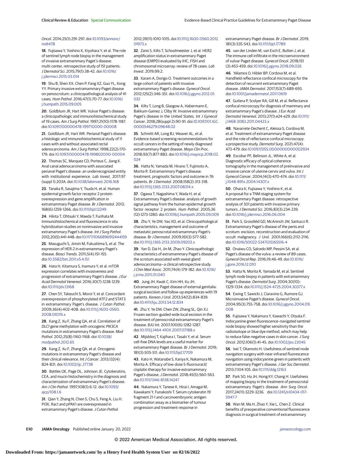#### Oncol. 2014;25(1):291-297. doi[:10.1093/annonc/](https://dx.doi.org/10.1093/annonc/mdt478) [mdt478](https://dx.doi.org/10.1093/annonc/mdt478)

**18**. Fujisawa Y, Yoshino K, Kiyohara Y, et al. The role of sentinel lymph node biopsy in the management of invasive extramammary Paget's disease: multi-center, retrospective study of 151 patients. J Dermatol Sci. 2015;79(1):38-42. doi[:10.1016/](https://dx.doi.org/10.1016/j.jdermsci.2015.03.014) [j.jdermsci.2015.03.014](https://dx.doi.org/10.1016/j.jdermsci.2015.03.014)

**19**. Shu B, Shen XX, Chen P, Fang XZ, Guo YL, Kong YY. Primary invasive extramammary Paget disease on penoscrotum: a clinicopathological analysis of 41 cases. Hum Pathol. 2016;47(1):70-77. doi[:10.1016/](https://dx.doi.org/10.1016/j.humpath.2015.09.005) [j.humpath.2015.09.005](https://dx.doi.org/10.1016/j.humpath.2015.09.005)

**20**. Goldblum JR, Hart WR. Vulvar Paget's disease: a clinicopathologic and immunohistochemical study of 19 cases. Am J Surg Pathol. 1997;21(10):1178-1187. doi[:10.1097/00000478-199710000-00008](https://dx.doi.org/10.1097/00000478-199710000-00008)

**21**. Goldblum JR, Hart WR. Perianal Paget's disease: a histologic and immunohistochemical study of 11 cases with and without associated rectal adenocarcinoma. Am J Surg Pathol. 1998;22(2):170- 179. doi[:10.1097/00000478-199802000-00004](https://dx.doi.org/10.1097/00000478-199802000-00004)

**22**. Thomas SC, Marquez CD, Porteus C, Jiang K. Anal canal adenocarcinoma with associated perianal Paget's disease: an underrecognized entity with institutional experience. Lab Invest. 2017;97 (suppl 1):203A. doi[:10.1038/labinvest.2016.168](https://dx.doi.org/10.1038/labinvest.2016.168)

**23**. Tanaka R, Sasajima Y, Tsuda H, et al. Human epidermal growth factor receptor 2 protein overexpression and gene amplification in extramammary Paget disease. Br J Dermatol. 2013; 168(6):1259-1266. doi[:10.1111/bjd.12249](https://dx.doi.org/10.1111/bjd.12249)

**24**. Hikita T, Ohtsuki Y, Maeda T, Furihata M. Immunohistochemical and fluorescence in situ hybridization studies on noninvasive and invasive extramammary Paget's disease. Int J Surg Pathol. 2012;20(5):441-448. doi[:10.1177/1066896912444159](https://dx.doi.org/10.1177/1066896912444159)

**25**. Masuguchi S, Jinnin M, Fukushima S, et al. The expression of HER-2 in extramammary Paget's disease. Biosci Trends. 2011;5(4):151-155. doi[:10.5582/bst.2011.v5.4.151](https://dx.doi.org/10.5582/bst.2011.v5.4.151)

**26**. Hata H, Kitamura S, Inamura Y, et al. mTOR expression correlates with invasiveness and progression of extramammary Paget's disease. J Eur Acad Dermatol Venereol. 2016;30(7):1238-1239. doi[:10.1111/jdv.13168](https://dx.doi.org/10.1111/jdv.13168)

**27**. Chen SY, Takeuchi S, Moroi Y, et al. Concordant overexpression of phosphorylated ATF2 and STAT3 in extramammary Paget's disease. J Cutan Pathol. 2009;36(4):402-408. doi[:10.1111/j.1600-0560.](https://dx.doi.org/10.1111/j.1600-0560.2008.01076.x) [2008.01076.x](https://dx.doi.org/10.1111/j.1600-0560.2008.01076.x)

**28**. Kang Z, Xu F, Zhang QA, et al. Correlation of DLC1 gene methylation with oncogenic PIK3CA mutations in extramammary Paget's disease. Mod Pathol. 2012;25(8):1160-1168. doi[:10.1038/](https://dx.doi.org/10.1038/modpathol.2012.65) [modpathol.2012.65](https://dx.doi.org/10.1038/modpathol.2012.65)

**29**. Kang Z, Xu F, Zhang QA, et al. Oncogenic mutations in extramammary Paget's disease and their clinical relevance. Int J Cancer. 2013;132(4): 824-831. doi[:10.1002/ijc.27738](https://dx.doi.org/10.1002/ijc.27738)

**30**. Battles OE, Page DL, Johnson JE. Cytokeratins, CEA, and mucin histochemistry in the diagnosis and characterization of extramammary Paget's disease. Am J Clin Pathol. 1997;108(1):6-12. doi[:10.1093/](https://dx.doi.org/10.1093/ajcp/108.1.6) [ajcp/108.1.6](https://dx.doi.org/10.1093/ajcp/108.1.6)

**31**. Qian Y, Zhang N, Chen S, Chu S, Feng A, Liu H. PI3K, Rac1 and pPAK1 are overexpressed in extramammary Paget's disease. J Cutan Pathol.

#### 2012;39(11):1010-1015. doi[:10.1111/j.1600-0560.2012.](https://dx.doi.org/10.1111/j.1600-0560.2012.01973.x) [01973.x](https://dx.doi.org/10.1111/j.1600-0560.2012.01973.x)

**32**. Zarei S, Kilts T, Schoolmeester J, et al. HER2 amplification status in extramammary Paget disease (EMPD) evaluated by IHC, FISH and chromosomal microarray: review of 78 cases. Lab Invest. 2019;99:2.

**33**. Karam A, Dorigo O. Treatment outcomes in a large cohort of patients with invasive extramammary Paget's disease. Gynecol Oncol. 2012;125(2):346-351. doi[:10.1016/j.ygyno.2012.01.](https://dx.doi.org/10.1016/j.ygyno.2012.01.032) [032](https://dx.doi.org/10.1016/j.ygyno.2012.01.032)

**34**. Kilts T, Long B, Glasgow A, Habermann E, Bakkum-Gamez J, Cliby W. Invasive extramammary Paget's disease in the United States. Int J Gynecol Cancer. 2018;28(suppl 2):90-91. doi[:10.1097/01.IGC.](https://dx.doi.org/10.1097/01.IGC.0000546279.09648.02) [0000546279.09648.02](https://dx.doi.org/10.1097/01.IGC.0000546279.09648.02)

**35**. Schmitt AR, Long BJ, Weaver AL, et al. Evidence-based screening recommendations for occult cancers in the setting of newly diagnosed extramammary Paget disease. Mayo Clin Proc. 2018;93(7):877-883. doi[:10.1016/j.mayocp.2018.02.](https://dx.doi.org/10.1016/j.mayocp.2018.02.024) [024](https://dx.doi.org/10.1016/j.mayocp.2018.02.024)

**36**. Hatta N, Yamada M, Hirano T, Fujimoto A, Morita R. Extramammary Paget's disease: treatment, prognostic factors and outcome in 76 patients. Br J Dermatol. 2008;158(2):313-318. doi[:10.1111/j.1365-2133.2007.08314.x](https://dx.doi.org/10.1111/j.1365-2133.2007.08314.x)

**37**. Ogawa T, Nagashima Y, Wada H, et al. Extramammary Paget's disease: analysis of growth signal pathway from the human epidermal growth factor receptor 2 protein. Hum Pathol. 2005;36 (12):1273-1280. doi[:10.1016/j.humpath.2005.09.009](https://dx.doi.org/10.1016/j.humpath.2005.09.009)

**38**. Zhu Y, Ye DW, Yao XD, et al. Clinicopathological characteristics, management and outcome of metastatic penoscrotal extramammary Paget's disease. Br J Dermatol. 2009;161(3):577-582. doi[:10.1111/j.1365-2133.2009.09203.x](https://dx.doi.org/10.1111/j.1365-2133.2009.09203.x)

**39**. Yan D, Dai H, Jin M, Zhao Y. Clinicopathologic characteristics of extramammary Paget's disease of the scrotum associated with sweat gland adenocarcinoma—a clinical retrospective study. J Chin Med Assoc. 2011;74(4):179-182. doi[:10.1016/](https://dx.doi.org/10.1016/j.jcma.2011.01.040) [j.jcma.2011.01.040](https://dx.doi.org/10.1016/j.jcma.2011.01.040)

**40**. Jung JH, Kwak C, Kim HH, Ku JH. Extramammary Paget disease of external genitalia: surgical excision and follow-up experiences with 19 patients. Korean J Urol. 2013;54(12):834-839. doi[:10.4111/kju.2013.54.12.834](https://dx.doi.org/10.4111/kju.2013.54.12.834)

**41**. Zhu Y, Ye DW, Chen ZW, Zhang SL, Qin XJ. Frozen section–guided wide local excision in the treatment of penoscrotal extramammary Paget's disease. BJU Int. 2007;100(6):1282-1287. doi[:10.1111/j.1464-410X.2007.07188.x](https://dx.doi.org/10.1111/j.1464-410X.2007.07188.x)

**42**. Mijiddorj T, Kajihara I, Tasaki Y, et al. Serum cell-free DNA levels are a useful marker for extramammary Paget disease. Br J Dermatol. 2019; 181(3):505-511. doi[:10.1111/bjd.17709](https://dx.doi.org/10.1111/bjd.17709)

**43**. Kato H, Watanabe S, Kariya K, Nakamura M, Morita A. Efficacy of low-dose 5-fluorouracil/ cisplatin therapy for invasive extramammary Paget's disease.J Dermatol. 2018;45(5):560-563. doi[:10.1111/1346-8138.14247](https://dx.doi.org/10.1111/1346-8138.14247)

**44**. Nakamura Y, Tanese K, Hirai I, Amagai M, Kawakami Y, Funakoshi T. Serum cytokeratin 19 fragment 21-1 and carcinoembryonic antigen combination assay as a biomarker of tumour progression and treatment response in

extramammary Paget disease. Br J Dermatol. 2019; 181(3):535-543. doi[:10.1111/bjd.17789](https://dx.doi.org/10.1111/bjd.17789)

**45**. van der Linden M, van Esch E, Bulten J, et al. The immune cell infiltrate in the microenvironment of vulvar Paget disease. Gynecol Oncol. 2018;151 (3):453-459. doi[:10.1016/j.ygyno.2018.09.026](https://dx.doi.org/10.1016/j.ygyno.2018.09.026)

**46**. Yélamos O, Hibler BP, Cordova M, et al. Handheld reflectance confocal microscopy for the detection of recurrent extramammary Paget disease.JAMA Dermatol. 2017;153(7):689-693. doi[:10.1001/jamadermatol.2017.0619](https://jamanetwork.com/journals/jama/fullarticle/10.1001/jamadermatol.2017.0619?utm_campaign=articlePDF%26utm_medium=articlePDFlink%26utm_source=articlePDF%26utm_content=jamaoncol.2021.7148)

**47**. Guitera P, Scolyer RA, Gill M, et al. Reflectance confocal microscopy for diagnosis of mammary and extramammary Paget's disease.J Eur Acad Dermatol Venereol. 2013;27(1):e24-e29. doi[:10.1111/](https://dx.doi.org/10.1111/j.1468-3083.2011.04423.x) [j.1468-3083.2011.04423.x](https://dx.doi.org/10.1111/j.1468-3083.2011.04423.x)

**48**. Navarrete-Dechent C, Aleissa S, Cordova M, et al. Treatment of extramammary Paget disease and the role of reflectance confocal microscopy: a prospective study. Dermatol Surg. 2021;47(4): 473-479. doi[:10.1097/DSS.0000000000002934](https://dx.doi.org/10.1097/DSS.0000000000002934)

**49**. Escobar PF, Belinson JL, White A, et al. Diagnostic efficacy of optical coherence tomography in the management of preinvasive and invasive cancer of uterine cervix and vulva. Int J Gynecol Cancer. 2004;14(3):470-474. doi[:10.1111/](https://dx.doi.org/10.1111/j.1048-891x.2004.14307.x) [j.1048-891x.2004.14307.x](https://dx.doi.org/10.1111/j.1048-891x.2004.14307.x)

**50**. Ohara K, Fujisawa Y, Yoshino K, et al. A proposal for a TNM staging system for extramammary Paget disease: retrospective analysis of 301 patients with invasive primary tumors.J Dermatol Sci. 2016;83(3):234-239. doi[:10.1016/j.jdermsci.2016.06.004](https://dx.doi.org/10.1016/j.jdermsci.2016.06.004)

**51**. Park S, Grossfeld GD, McAninch JW, Santucci R. Extramammary Paget's disease of the penis and scrotum: excision, reconstruction and evaluation of occult malignancy. J Urol. 2001;166(6):2112-2116. doi[:10.1016/S0022-5347\(05\)65516-4](https://dx.doi.org/10.1016/S0022-5347(05)65516-4)

**52**. Onaiwu CO, Salcedo MP, Pessini SA, et al. Paget's disease of the vulva: a review of 89 cases. Gynecol Oncol Rep. 2016;19:46-49. doi[:10.1016/](https://dx.doi.org/10.1016/j.gore.2016.12.010) [j.gore.2016.12.010](https://dx.doi.org/10.1016/j.gore.2016.12.010)

**53**. Hatta N, Morita R, Yamada M, et al. Sentinel lymph node biopsy in patients with extramammary Paget's disease. Dermatol Surg. 2004;30(10): 1329-1334. doi[:10.1111/j.1524-4725.2004.30377.x](https://dx.doi.org/10.1111/j.1524-4725.2004.30377.x)

**54**. Ewing T, Sawicki J, Ciaravino G, Rumore GJ. Microinvasive Paget's disease. Gynecol Oncol. 2004;95(3):755-758. doi[:10.1016/j.ygyno.2004.09.](https://dx.doi.org/10.1016/j.ygyno.2004.09.008) [008](https://dx.doi.org/10.1016/j.ygyno.2004.09.008)

**55**. Fujisawa Y, Nakamura Y, Kawachi Y, Otsuka F. Indocyanine green fluorescence–navigated sentinel node biopsy showed higher sensitivity than the radioisotope or blue dye method, which may help to reduce false-negative cases in skin cancer. J Surg Oncol. 2012;106(1):41-45. doi[:10.1002/jso.23045](https://dx.doi.org/10.1002/jso.23045)

**56**. Isei T, Okamoto H. Usefulness of sentinel node navigation surgery with near-infrared fluorescence navigation using indocyanine green in patients with extramammary Paget's disease. J Ger Soc Dermatol. 2013;7:104-105. doi[:10.1111/ddg.12163](https://dx.doi.org/10.1111/ddg.12163)

**57**. Park SO, Ha JH, Hong KY, Chang H. Usefulness of mapping biopsy in the treatment of penoscrotal extramammary Paget's disease. Ann Surg Oncol. 2017;24(11):3229-3236. doi[:10.1245/s10434-017-](https://dx.doi.org/10.1245/s10434-017-5947-7) [5947-7](https://dx.doi.org/10.1245/s10434-017-5947-7)

**58**. Wan M, Ma H, Zhao Y, Xie L, Chen Z. Clinical benefits of preoperative conventional fluorescence diagnosis in surgical treatment of extramammary